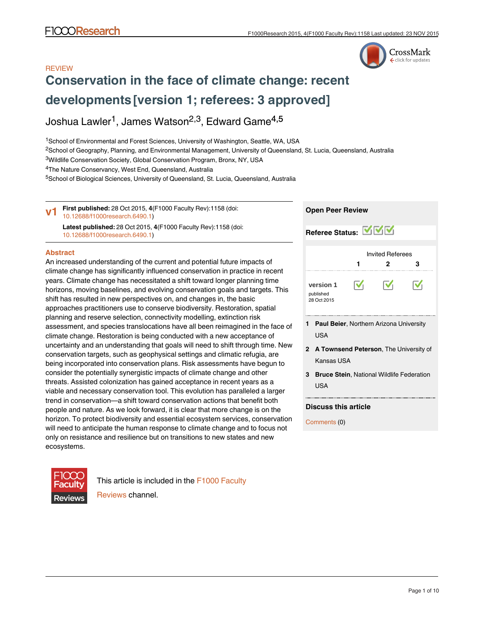# CrossMark click for updates

# **REVIEW [Conservation in the face of climate change: recent](http://f1000research.com/articles/4-1158/v1) [developments](http://f1000research.com/articles/4-1158/v1) [version 1; referees: 3 approved]**

# Joshua Lawler<sup>1</sup>, James Watson<sup>2,3</sup>, Edward Game<sup>4,5</sup>

<sup>1</sup>School of Environmental and Forest Sciences, University of Washington, Seattle, WA, USA

<sup>2</sup>School of Geography, Planning, and Environmental Management, University of Queensland, St. Lucia, Queensland, Australia

<sup>3</sup>Wildlife Conservation Society, Global Conservation Program, Bronx, NY, USA

<sup>4</sup>The Nature Conservancy, West End, Queensland, Australia

<sup>5</sup>School of Biological Sciences, University of Queensland, St. Lucia, Queensland, Australia

**First published:** 28 Oct 2015, **4**(F1000 Faculty Rev):1158 (doi: [10.12688/f1000research.6490.1](http://dx.doi.org/10.12688/f1000research.6490.1)) **Latest published:** 28 Oct 2015, **4**(F1000 Faculty Rev):1158 (doi: [10.12688/f1000research.6490.1](http://dx.doi.org/10.12688/f1000research.6490.1)) **v1**

### **Abstract**

An increased understanding of the current and potential future impacts of climate change has significantly influenced conservation in practice in recent years. Climate change has necessitated a shift toward longer planning time horizons, moving baselines, and evolving conservation goals and targets. This shift has resulted in new perspectives on, and changes in, the basic approaches practitioners use to conserve biodiversity. Restoration, spatial planning and reserve selection, connectivity modelling, extinction risk assessment, and species translocations have all been reimagined in the face of climate change. Restoration is being conducted with a new acceptance of uncertainty and an understanding that goals will need to shift through time. New conservation targets, such as geophysical settings and climatic refugia, are being incorporated into conservation plans. Risk assessments have begun to consider the potentially synergistic impacts of climate change and other threats. Assisted colonization has gained acceptance in recent years as a viable and necessary conservation tool. This evolution has paralleled a larger trend in conservation—a shift toward conservation actions that benefit both people and nature. As we look forward, it is clear that more change is on the horizon. To protect biodiversity and essential ecosystem services, conservation will need to anticipate the human response to climate change and to focus not only on resistance and resilience but on transitions to new states and new ecosystems.



This article is included in the [F1000 Faculty](http://f1000research.com/channels/f1000-faculty-reviews) [Reviews](http://f1000research.com/channels/f1000-faculty-reviews) channel.

# **Open Peer Review**

**Referee Status: MMV** Invited Referees **1 2 3**  $\overline{\mathsf{v}}$  $\overline{\mathsf{v}}$  $\overline{\mathsf{v}}$ **[version 1](http://f1000research.com/articles/4-1158/v1)** published .<br>28 Oct 2015 **1 Paul Beier**, Northern Arizona University USA **A Townsend Peterson**, The University of **2**

**Bruce Stein**, National Wildlife Federation **3** USA

# **Discuss this article**

Kansas USA

Comments (0)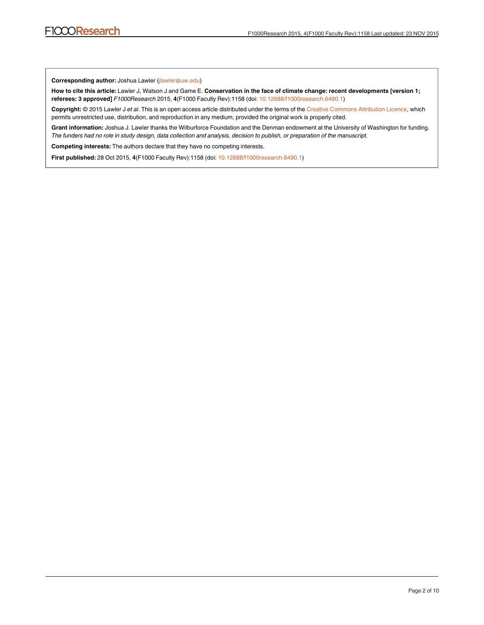**Corresponding author:** Joshua Lawler (jlawler@uw.edu)

**How to cite this article:** Lawler J, Watson J and Game E. **Conservation in the face of climate change: recent developments [version 1; referees: 3 approved]** *F1000Research* 2015, **4**(F1000 Faculty Rev):1158 (doi: [10.12688/f1000research.6490.1](http://dx.doi.org/10.12688/f1000research.6490.1))

**Copyright:** © 2015 Lawler J *et al*. This is an open access article distributed under the terms of the [Creative Commons Attribution Licence](http://creativecommons.org/licenses/by/4.0/), which permits unrestricted use, distribution, and reproduction in any medium, provided the original work is properly cited.

**Grant information:** Joshua J. Lawler thanks the Wilburforce Foundation and the Denman endowment at the University of Washington for funding. *The funders had no role in study design, data collection and analysis, decision to publish, or preparation of the manuscript.*

**Competing interests:** The authors declare that they have no competing interests.

**First published:** 28 Oct 2015, **4**(F1000 Faculty Rev):1158 (doi: [10.12688/f1000research.6490.1](http://dx.doi.org/10.12688/f1000research.6490.1))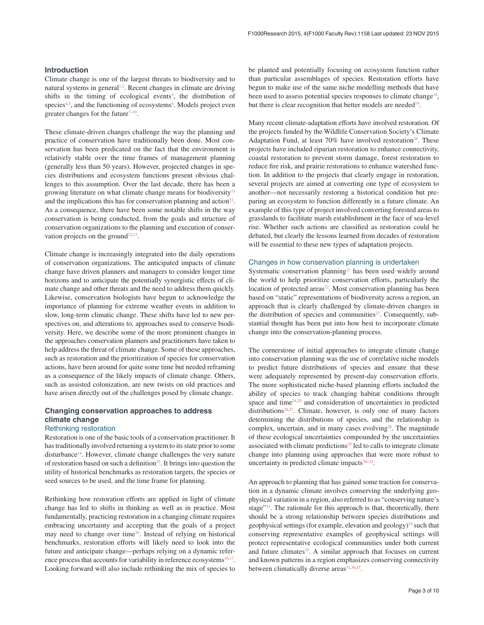#### **Introduction**

Climate change is one of the largest threats to biodiversity and to natural systems in general<sup>[1,2](#page-5-0)</sup>. Recent changes in climate are driving shifts in the timing of ecological events<sup>[3](#page-5-0)</sup>, the distribution of species<sup>[4,5](#page-5-0)</sup>, and the functioning of ecosystems<sup>6</sup>. Models project even greater changes for the future<sup> $7-10$ </sup>.

These climate-driven changes challenge the way the planning and practice of conservation have traditionally been done. Most conservation has been predicated on the fact that the environment is relatively stable over the time frames of management planning (generally less than 50 years). However, projected changes in species distributions and ecosystem functions present obvious challenges to this assumption. Over the last decade, there has been a growing literature on what climate change means for biodiversity $11$ and the implications this has for conservation planning and action<sup>12</sup>. As a consequence, there have been some notable shifts in the way conservation is being conducted, from the goals and structure of conservation organizations to the planning and execution of conservation projects on the ground<sup>12,13</sup>.

Climate change is increasingly integrated into the daily operations of conservation organizations. The anticipated impacts of climate change have driven planners and managers to consider longer time horizons and to anticipate the potentially synergistic effects of climate change and other threats and the need to address them quickly. Likewise, conservation biologists have begun to acknowledge the importance of planning for extreme weather events in addition to slow, long-term climatic change. These shifts have led to new perspectives on, and alterations to, approaches used to conserve biodiversity. Here, we describe some of the more prominent changes in the approaches conservation planners and practitioners have taken to help address the threat of climate change. Some of these approaches, such as restoration and the prioritization of species for conservation actions, have been around for quite some time but needed reframing as a consequence of the likely impacts of climate change. Others, such as assisted colonization, are new twists on old practices and have arisen directly out of the challenges posed by climate change.

# **Changing conservation approaches to address climate change**

### Rethinking restoration

Restoration is one of the basic tools of a conservation practitioner. It has traditionally involved returning a system to its state prior to some disturbance<sup>14</sup>. However, climate change challenges the very nature of restoration based on such a definition<sup>[15](#page-5-0)</sup>. It brings into question the utility of historical benchmarks as restoration targets, the species or seed sources to be used, and the time frame for planning.

Rethinking how restoration efforts are applied in light of climate change has led to shifts in thinking as well as in practice. Most fundamentally, practicing restoration in a changing climate requires embracing uncertainty and accepting that the goals of a project may need to change over time<sup>16</sup>. Instead of relying on historical benchmarks, restoration efforts will likely need to look into the future and anticipate change—perhaps relying on a dynamic reference process that accounts for variability in reference ecosystems $16,17$ . Looking forward will also include rethinking the mix of species to

be planted and potentially focusing on ecosystem function rather than particular assemblages of species. Restoration efforts have begun to make use of the same niche modelling methods that have been used to assess potential species responses to climate change<sup>18</sup>, but there is clear recognition that better models are needed<sup>19</sup>.

Many recent climate-adaptation efforts have involved restoration. Of the projects funded by the Wildlife Conservation Society's Climate Adaptation Fund, at least  $70\%$  have involved restoration<sup>20</sup>. These projects have included riparian restoration to enhance connectivity, coastal restoration to prevent storm damage, forest restoration to reduce fire risk, and prairie restorations to enhance watershed function. In addition to the projects that clearly engage in restoration, several projects are aimed at converting one type of ecosystem to another—not necessarily restoring a historical condition but preparing an ecosystem to function differently in a future climate. An example of this type of project involved converting forested areas to grasslands to facilitate marsh establishment in the face of sea-level rise. Whether such actions are classified as restoration could be debated, but clearly the lessons learned from decades of restoration will be essential to these new types of adaptation projects.

#### Changes in how conservation planning is undertaken

Systematic conservation planning<sup>21</sup> has been used widely around the world to help prioritize conservation efforts, particularly the location of protected areas $22$ . Most conservation planning has been based on "static" representations of biodiversity across a region, an approach that is clearly challenged by climate-driven changes in the distribution of species and communities $23$ . Consequently, substantial thought has been put into how best to incorporate climate change into the conservation-planning process.

The cornerstone of initial approaches to integrate climate change into conservation planning was the use of correlative niche models to predict future distributions of species and ensure that these were adequately represented by present-day conservation efforts. The more sophisticated niche-based planning efforts included the ability of species to track changing habitat conditions through space and time $24,25$  and consideration of uncertainties in predicted distributions<sup>26,27</sup>. Climate, however, is only one of many factors determining the distributions of species, and the relationship is complex, uncertain, and in many cases evolving<sup>28</sup>. The magnitude of these ecological uncertainties compounded by the uncertainties associated with climate predictions<sup>29</sup> led to calls to integrate climate change into planning using approaches that were more robust to uncertainty in predicted climate impacts $30-32$ .

An approach to planning that has gained some traction for conservation in a dynamic climate involves conserving the underlying geophysical variation in a region, also referred to as "conserving nature's stage"<sup>33</sup>. The rationale for this approach is that, theoretically, there should be a strong relationship between species distributions and geophysical settings (for example, elevation and geology) $34$  such that conserving representative examples of geophysical settings will protect representative ecological communities under both current and future climates $35$ . A similar approach that focuses on current and known patterns in a region emphasizes conserving connectivity between climatically diverse areas<sup>[31,36,37](#page-5-0)</sup>.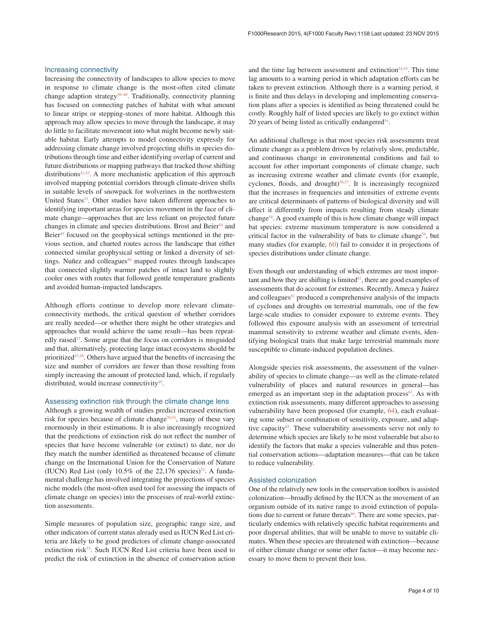#### Increasing connectivity

Increasing the connectivity of landscapes to allow species to move in response to climate change is the most-often cited climate change adaption strategy $38-40$ . Traditionally, connectivity planning has focused on connecting patches of habitat with what amount to linear strips or stepping-stones of more habitat. Although this approach may allow species to move through the landscape, it may do little to facilitate movement into what might become newly suitable habitat. Early attempts to model connectivity expressly for addressing climate change involved projecting shifts in species distributions through time and either identifying overlap of current and future distributions or mapping pathways that tracked those shifting distributions<sup>[41,42](#page-6-0)</sup>. A more mechanistic application of this approach involved mapping potential corridors through climate-driven shifts in suitable levels of snowpack for wolverines in the northwestern United States<sup>43</sup>. Other studies have taken different approaches to identifying important areas for species movement in the face of climate change—approaches that are less reliant on projected future changes in climate and species distributions. Brost and Beier<sup>[44](#page-6-0)</sup> and Beier<sup>45</sup> focused on the geophysical settings mentioned in the previous section, and charted routes across the landscape that either connected similar geophysical setting or linked a diversity of settings. Nuñez and colleagues<sup>46</sup> mapped routes through landscapes that connected slightly warmer patches of intact land to slightly cooler ones with routes that followed gentle temperature gradients and avoided human-impacted landscapes.

Although efforts continue to develop more relevant climateconnectivity methods, the critical question of whether corridors are really needed—or whether there might be other strategies and approaches that would achieve the same result—has been repeatedly raised $37$ . Some argue that the focus on corridors is misguided and that, alternatively, protecting large intact ecosystems should be prioritized $47,48$ . Others have argued that the benefits of increasing the size and number of corridors are fewer than those resulting from simply increasing the amount of protected land, which, if regularly distributed, would increase connectivity $49$ .

#### Assessing extinction risk through the climate change lens

Although a growing wealth of studies predict increased extinction risk for species because of climate change<sup>50,51</sup>, many of these vary enormously in their estimations. It is also increasingly recognized that the predictions of extinction risk do not reflect the number of species that have become vulnerable (or extinct) to date, nor do they match the number identified as threatened because of climate change on the International Union for the Conservation of Nature (IUCN) Red List (only  $10.5\%$  of the 22,176 species)<sup>52</sup>. A fundamental challenge has involved integrating the projections of species niche models (the most-often used tool for assessing the impacts of climate change on species) into the processes of real-world extinction assessments.

Simple measures of population size, geographic range size, and other indicators of current status already used as IUCN Red List criteria are likely to be good predictors of climate change-associated extinction risk<sup>53</sup>. Such IUCN Red List criteria have been used to predict the risk of extinction in the absence of conservation action

and the time lag between assessment and extinction $54,55$ . This time lag amounts to a warning period in which adaptation efforts can be taken to prevent extinction. Although there is a warning period, it is finite and thus delays in developing and implementing conservation plans after a species is identified as being threatened could be costly. Roughly half of listed species are likely to go extinct within 20 years of being listed as critically endangered $54$ .

An additional challenge is that most species risk assessments treat climate change as a problem driven by relatively slow, predictable, and continuous change in environmental conditions and fail to account for other important components of climate change, such as increasing extreme weather and climate events (for example, cyclones, floods, and drought)<sup>56,57</sup>. It is increasingly recognized that the increases in frequencies and intensities of extreme events are critical determinants of patterns of biological diversity and will affect it differently from impacts resulting from steady climate chang[e58](#page-6-0). A good example of this is how climate change will impact bat species: extreme maximum temperature is now considered a critical factor in the vulnerability of bats to climate change<sup>59</sup>, but many studies (for example, [60](#page-6-0)) fail to consider it in projections of species distributions under climate change.

Even though our understanding of which extremes are most important and how they are shifting is limited $61$ , there are good examples of assessments that do account for extremes. Recently, Ameca y Juárez and colleagues $62$  produced a comprehensive analysis of the impacts of cyclones and droughts on terrestrial mammals, one of the few large-scale studies to consider exposure to extreme events. They followed this exposure analysis with an assessment of terrestrial mammal sensitivity to extreme weather and climate events, identifying biological traits that make large terrestrial mammals more susceptible to climate-induced population declines.

Alongside species risk assessments, the assessment of the vulnerability of species to climate change—as well as the climate-related vulnerability of places and natural resources in general—has emerged as an important step in the adaptation process $63$ . As with extinction risk assessments, many different approaches to assessing vulnerability have been proposed (for example, [64\)](#page-6-0), each evaluating some subset or combination of sensitivity, exposure, and adaptive capacity<sup>65</sup>. These vulnerability assessments serve not only to determine which species are likely to be most vulnerable but also to identify the factors that make a species vulnerable and thus potential conservation actions—adaptation measures—that can be taken to reduce vulnerability.

#### Assisted colonization

One of the relatively new tools in the conservation toolbox is assisted colonization—broadly defined by the IUCN as the movement of an organism outside of its native range to avoid extinction of popula-tions due to current or future threats<sup>[66](#page-6-0)</sup>. There are some species, particularly endemics with relatively specific habitat requirements and poor dispersal abilities, that will be unable to move to suitable climates. When these species are threatened with extinction—because of either climate change or some other factor—it may become necessary to move them to prevent their loss.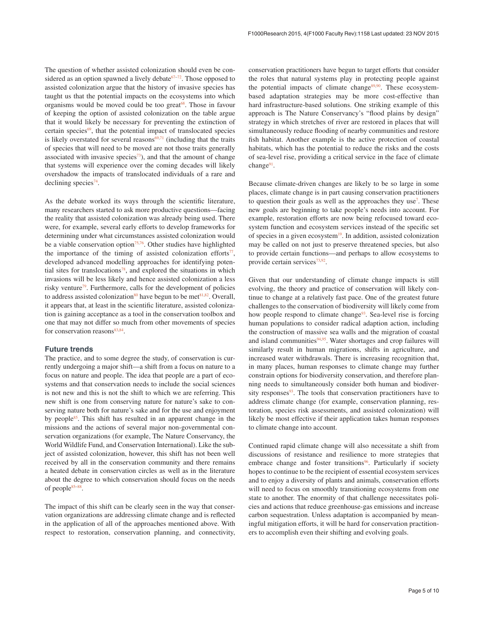The question of whether assisted colonization should even be considered as an option spawned a lively debate $67-72$ . Those opposed to assisted colonization argue that the history of invasive species has taught us that the potential impacts on the ecosystems into which organisms would be moved could be too great<sup>[68](#page-6-0)</sup>. Those in favour of keeping the option of assisted colonization on the table argue that it would likely be necessary for preventing the extinction of certain species $69$ , that the potential impact of translocated species is likely overstated for several reasons $69,71$  (including that the traits of species that will need to be moved are not those traits generally associated with invasive species $^{73}$ ), and that the amount of change that systems will experience over the coming decades will likely overshadow the impacts of translocated individuals of a rare and declining species<sup>74</sup>.

As the debate worked its ways through the scientific literature, many researchers started to ask more productive questions—facing the reality that assisted colonization was already being used. There were, for example, several early efforts to develop frameworks for determining under what circumstances assisted colonization would be a viable conservation option<sup>75,76</sup>. Other studies have highlighted the importance of the timing of assisted colonization efforts<sup>77</sup>, developed advanced modelling approaches for identifying potential sites for translocations<sup>78</sup>, and explored the situations in which invasions will be less likely and hence assisted colonization a less risky venture<sup>79</sup>. Furthermore, calls for the development of policies to address assisted colonization<sup>80</sup> have begun to be met<sup>81,82</sup>. Overall, it appears that, at least in the scientific literature, assisted colonization is gaining acceptance as a tool in the conservation toolbox and one that may not differ so much from other movements of species for conservation reasons $83,84$ .

### **Future trends**

The practice, and to some degree the study, of conservation is currently undergoing a major shift—a shift from a focus on nature to a focus on nature and people. The idea that people are a part of ecosystems and that conservation needs to include the social sciences is not new and this is not the shift to which we are referring. This new shift is one from conserving nature for nature's sake to conserving nature both for nature's sake and for the use and enjoyment by peopl[e85](#page-7-0). This shift has resulted in an apparent change in the missions and the actions of several major non-governmental conservation organizations (for example, The Nature Conservancy, the World Wildlife Fund, and Conservation International). Like the subject of assisted colonization, however, this shift has not been well received by all in the conservation community and there remains a heated debate in conservation circles as well as in the literature about the degree to which conservation should focus on the needs of peopl[e85–88](#page-7-0).

The impact of this shift can be clearly seen in the way that conservation organizations are addressing climate change and is reflected in the application of all of the approaches mentioned above. With respect to restoration, conservation planning, and connectivity, conservation practitioners have begun to target efforts that consider the roles that natural systems play in protecting people against the potential impacts of climate change $89,90$ . These ecosystembased adaptation strategies may be more cost-effective than hard infrastructure-based solutions. One striking example of this approach is The Nature Conservancy's "flood plains by design" strategy in which stretches of river are restored in places that will simultaneously reduce flooding of nearby communities and restore fish habitat. Another example is the active protection of coastal habitats, which has the potential to reduce the risks and the costs of sea-level rise, providing a critical service in the face of climate change $91$ .

Because climate-driven changes are likely to be so large in some places, climate change is in part causing conservation practitioners to question their goals as well as the approaches they use<sup>7</sup>. These new goals are beginning to take people's needs into account. For example, restoration efforts are now being refocused toward ecosystem function and ecosystem services instead of the specific set of species in a given ecosystem $19$ . In addition, assisted colonization may be called on not just to preserve threatened species, but also to provide certain functions—and perhaps to allow ecosystems to provide certain services<sup>[73](#page-6-0),92</sup>.

Given that our understanding of climate change impacts is still evolving, the theory and practice of conservation will likely continue to change at a relatively fast pace. One of the greatest future challenges to the conservation of biodiversity will likely come from how people respond to climate change<sup>93</sup>. Sea-level rise is forcing human populations to consider radical adaption action, including the construction of massive sea walls and the migration of coastal and island communities<sup>94,95</sup>. Water shortages and crop failures will similarly result in human migrations, shifts in agriculture, and increased water withdrawals. There is increasing recognition that, in many places, human responses to climate change may further constrain options for biodiversity conservation, and therefore planning needs to simultaneously consider both human and biodiversity responses $93$ . The tools that conservation practitioners have to address climate change (for example, conservation planning, restoration, species risk assessments, and assisted colonization) will likely be most effective if their application takes human responses to climate change into account.

Continued rapid climate change will also necessitate a shift from discussions of resistance and resilience to more strategies that embrace change and foster transitions<sup>[96](#page-7-0)</sup>. Particularly if society hopes to continue to be the recipient of essential ecosystem services and to enjoy a diversity of plants and animals, conservation efforts will need to focus on smoothly transitioning ecosystems from one state to another. The enormity of that challenge necessitates policies and actions that reduce greenhouse-gas emissions and increase carbon sequestration. Unless adaptation is accompanied by meaningful mitigation efforts, it will be hard for conservation practitioners to accomplish even their shifting and evolving goals.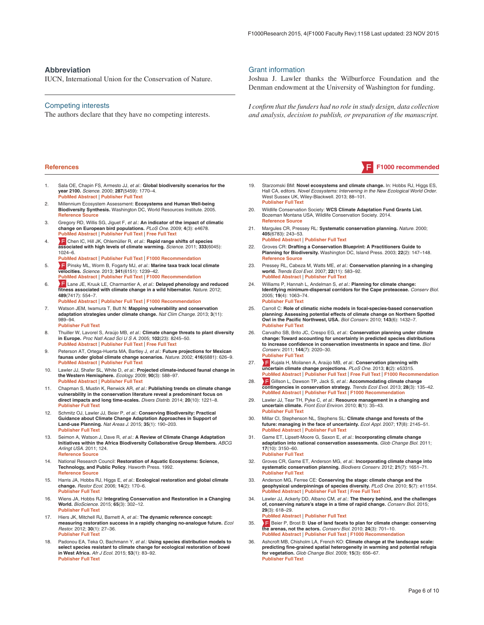#### <span id="page-5-0"></span>**Abbreviation**

IUCN, International Union for the Conservation of Nature.

#### Competing interests

The authors declare that they have no competing interests.

- Sala OE, Chapin FS, Armesto JJ, *et al.*: **Global biodiversity scenarios for the year 2100.** *Science.* 2000; **287**(5459): 1770–4. **[PubMed Abstract](http://www.ncbi.nlm.nih.gov/pubmed/10710299)** | **[Publisher Full Text](http://dx.doi.org/10.1126/science.287.5459.1770)**
- 2. Millennium Ecosystem Assessment: **Ecosystems and Human Well-being Biodiversity Synthesis.** Washington DC, World Resources Institute. 2005. **[Reference Source](http://www.millenniumassessment.org/documents/document.354.aspx.pdf)**
- 3. Gregory RD, Willis SG, Jiguet F, *et al.*: **An indicator of the impact of climatic change on European bird populations.** *PLoS One.* 2009; **4**(3): e4678. **[PubMed Abstract](http://www.ncbi.nlm.nih.gov/pubmed/19259270)** | **[Publisher Full Text](http://dx.doi.org/10.1371/journal.pone.0004678)** | **[Free Full Text](http://www.ncbi.nlm.nih.gov/pmc/articles/2649536)**
- 4. [C](http://f1000.com/prime/13098956)hen IC, Hill JK, Ohlemüller R, *et al.*: **Rapid range shifts of species associated with high levels of climate warming.** *Science.* 2011; **333**(6045): 1024–6. **[PubMed Abstract](http://www.ncbi.nlm.nih.gov/pubmed/21852500)** | **[Publisher Full Text](http://dx.doi.org/10.1126/science.1206432)** | **[F1000 Recommendation](http://f1000.com/prime/13098956)**
- 5. [P](http://f1000.com/prime/718106717)insky ML, Worm B, Fogarty MJ, *et al.*: **Marine taxa track local climate velocities.** *Science.* 2013; **341**(6151): 1239–42. **[PubMed Abstract](http://www.ncbi.nlm.nih.gov/pubmed/24031017)** | **[Publisher Full Text](http://dx.doi.org/10.1126/science.1239352)** | **[F1000 Recommendation](http://f1000.com/prime/718106717)**
- 6. [L](http://f1000.com/prime/718558241)ane JE, Kruuk LE, Charmantier A, *et al.*: **Delayed phenology and reduced fitness associated with climate change in a wild hibernator.** *Nature.* 2012; **489**(7417): 554–7.
- **[PubMed Abstract](http://www.ncbi.nlm.nih.gov/pubmed/22878721)** | **[Publisher Full Text](http://dx.doi.org/10.1038/nature11335)** | **[F1000 Recommendation](http://f1000.com/prime/718558241)**

7. Watson JEM, Iwamura T, Butt N: **Mapping vulnerability and conservation adaptation strategies under climate change.** *Nat Clim Change.* 2013; **3**(11): 989–94. **[Publisher Full Text](http://dx.doi.org/10.1038/nclimate2007)**

- 8. Thuiller W, Lavorel S, Araújo MB, *et al.*: **Climate change threats to plant diversity**
- **in Europe.** *Proc Natl Acad Sci U S A.* 2005; **102**(23): 8245–50. **[PubMed Abstract](http://www.ncbi.nlm.nih.gov/pubmed/15919825)** | **[Publisher Full Text](http://dx.doi.org/10.1073/pnas.0409902102)** | **[Free Full Text](http://www.ncbi.nlm.nih.gov/pmc/articles/1140480)** 9. Peterson AT, Ortega-Huerta MA, Bartley J, *et al.*: **Future projections for Mexican faunas under global climate change scenarios.** *Nature.* 2002; **416**(6881): 626–9. **[PubMed Abstract](http://www.ncbi.nlm.nih.gov/pubmed/11948349)** | **[Publisher Full Text](http://dx.doi.org/10.1038/416626a)**
- 10. Lawler JJ, Shafer SL, White D, *et al.*: **Projected climate-induced faunal change in the Western Hemisphere.** *Ecology.* 2009; **90**(3): 588–97. **[PubMed Abstract](http://www.ncbi.nlm.nih.gov/pubmed/19341131)** | **[Publisher Full Text](http://dx.doi.org/10.1890/08-0823.1)**
- 11. Chapman S, Mustin K, Renwick AR, *et al.*: **Publishing trends on climate change vulnerability in the conservation literature reveal a predominant focus on direct impacts and long time-scales.** *Divers Distrib.* 2014; **20**(10): 1221–8. **[Publisher Full Text](http://dx.doi.org/10.1111/ddi.12234)**
- 12. Schmitz OJ, Lawler JJ, Beier P, *et al.*: **Conserving Biodiversity: Practical Guidance about Climate Change Adaptation Approaches in Support of Land-use Planning.** *Nat Areas J.* 2015; **35**(1): 190–203. **[Publisher Full Text](http://dx.doi.org/10.3375/043.035.0120)**
- 13. Seimon A, Watson J, Dave R, *et al.*: **A Review of Climate Change Adaptation Initiatives within the Africa Biodiversity Collaborative Group Members.** *ABCG Arlingt USA.* 2011; 124. **[Reference Source](http://pdf.usaid.gov/pdf_docs/Pdacs576.pdf)**
- 14. National Research Council: **Restoration of Aquatic Ecosystems: Science, Technology, and Public Policy**. Haworth Press. 1992. **[Reference Source](http://www.nap.edu/read/1807/chapter/1)**
- 15. Harris JA, Hobbs RJ, Higgs E, *et al.*: **Ecological restoration and global climate change.** *Restor Ecol.* 2006; **14**(2): 170–6. **[Publisher Full Text](http://dx.doi.org/10.1111/j.1526-100X.2006.00136.x)**
- 16. Wiens JA, Hobbs RJ: **Integrating Conservation and Restoration in a Changing World.** *BioScience.* 2015; **65**(3): 302–12. **[Publisher Full Text](http://dx.doi.org/10.1093/biosci/biu235)**
- 17. Hiers JK, Mitchell RJ, Barnett A, *et al.*: **The dynamic reference concept: measuring restoration success in a rapidly changing no-analogue future.** *Ecol Restor.* 2012; **30**(1): 27–36. **[Publisher Full Text](http://dx.doi.org/10.3368/er.30.1.27)**
- 18. Padonou EA, Teka O, Bachmann Y, *et al.*: **Using species distribution models to select species resistant to climate change for ecological restoration of** *bowé* **in West Africa.** *Afr J Ecol.* 2015; **53**(1): 83–92. **[Publisher Full Text](http://dx.doi.org/10.1111/aje.12205)**

### Grant information

Joshua J. Lawler thanks the Wilburforce Foundation and the Denman endowment at the University of Washington for funding.

*I confirm that the funders had no role in study design, data collection and analysis, decision to publish, or preparation of the manuscript.*



- 19. Starzomski BM: **Novel ecosystems and climate change.** In: Hobbs RJ, Higgs ES, Hall CA, editors. *Novel Ecosystems: Intervening in the New Ecological World Order*. West Sussex UK, Wiley-Blackwell. 2013; 88–101. **[Publisher Full Text](http://dx.doi.org/10.1002/9781118354186.ch10)**
- 20. Wildlife Conservation Society: **WCS Climate Adaptation Fund Grants List.** Bozeman Montana USA, Wildlife Conservation Society. 2014. **[Reference Source](http://www.wcsnorthamerica.org/AdminPlus/Docustore.aspx?Command=Core_Download&EntryId=27745)**
- 21. Margules CR, Pressey RL: **Systematic conservation planning.** *Nature.* 2000; **405**(6783): 243–53. **[PubMed Abstract](http://www.ncbi.nlm.nih.gov/pubmed/10821285)** | **[Publisher Full Text](http://dx.doi.org/10.1038/35012251)**
- 22. Groves CR: **Drafting a Conservation Blueprint: A Practitioners Guide to**
- **Planning for Biodiversity.** Washington DC, Island Press. 2003; **22**(2): 147–148. **[Reference Source](https://islandpress.org/book/drafting-a-conservation-blueprint)**
- 23. Pressey RL, Cabeza M, Watts ME, *et al.*: **Conservation planning in a changing world.** *Trends Ecol Evol.* 2007; **22**(11): 583–92. **[PubMed Abstract](http://www.ncbi.nlm.nih.gov/pubmed/17981360)** | **[Publisher Full Text](http://dx.doi.org/10.1016/j.tree.2007.10.001)**
- 24. Williams P, Hannah L, Andelman S, *et al.*: **Planning for climate change: Identifying minimum-dispersal corridors for the Cape proteaceae.** *Conserv Biol.* 2005; **19**(4): 1063–74. **[Publisher Full Text](http://dx.doi.org/10.1111/j.1523-1739.2005.00080.x)**
- 25. Carroll C: **Role of climatic niche models in focal-species-based conservation planning: Assessing potential effects of climate change on Northern Spotted Owl in the Pacific Northwest, USA.** *Biol Conserv.* 2010; **143**(6): 1432–7. **[Publisher Full Text](http://dx.doi.org/10.1016/j.biocon.2010.03.018)**
- 26. Carvalho SB, Brito JC, Crespo EG, *et al.*: **Conservation planning under climate change: Toward accounting for uncertainty in predicted species distributions to increase confidence in conservation investments in space and time.** *Biol Conserv.* 2011; **144**(7): 2020–30. **[Publisher Full Text](http://dx.doi.org/10.1016/j.biocon.2011.04.024)**
- 27. **F** [K](http://f1000.com/prime/724142794)ujala H, Moilanen A, Araújo MB, *et al.*: **Conservation planning with uncertain climate change projections.** *PLoS One.* 2013; **8**(2): e53315. **[PubMed Abstract](http://www.ncbi.nlm.nih.gov/pubmed/23405068)** | **[Publisher Full Text](http://dx.doi.org/10.1371/journal.pone.0053315)** | **[Free Full Text](http://www.ncbi.nlm.nih.gov/pmc/articles/3566137)** | **[F1000 Recommendation](http://f1000.com/prime/724142794)**
- 28. [G](http://f1000.com/prime/717963613)illson L, Dawson TP, Jack S, *et al.*: **Accommodating climate change contingencies in conservation strategy.** *Trends Ecol Evol.* 2013; **28**(3): 135–42. **[PubMed Abstract](http://www.ncbi.nlm.nih.gov/pubmed/23146578)** | **[Publisher Full Text](http://dx.doi.org/10.1016/j.tree.2012.10.008)** | **[F1000 Recommendation](http://f1000.com/prime/717963613)**
- 29. Lawler JJ, Tear TH, Pyke C, *et al.*: **Resource management in a changing and uncertain climate.** *Front Ecol Environ.* 2010; **8**(1): 35–43. **[Publisher Full Text](http://dx.doi.org/10.1890/070146)**
- 30. Millar CI, Stephenson NL, Stephens SL: **Climate change and forests of the future: managing in the face of uncertainty.** *Ecol Appl.* 2007; **17**(8): 2145–51. **[PubMed Abstract](http://www.ncbi.nlm.nih.gov/pubmed/18213958)** | **[Publisher Full Text](http://dx.doi.org/10.1890/06-1715.1)**
- 31. Game ET, Lipsett-Moore G, Saxon E, *et al.*: **Incorporating climate change adaptation into national conservation assessments.** *Glob Change Biol.* 2011; **17**(10): 3150–60. **[Publisher Full Text](http://dx.doi.org/10.1111/j.1365-2486.2011.02457.x)**
- 32. Groves CR, Game ET, Anderson MG, *et al.*: **Incorporating climate change into systematic conservation planning.** *Biodivers Conserv.* 2012; **21**(7): 1651–71. **[Publisher Full Text](http://dx.doi.org/10.1007/s10531-012-0269-3)**
- 33. Anderson MG, Ferree CE: **Conserving the stage: climate change and the geophysical underpinnings of species diversity.** *PLoS One.* 2010; **5**(7): e11554. **[PubMed Abstract](http://www.ncbi.nlm.nih.gov/pubmed/20644646)** | **[Publisher Full Text](http://dx.doi.org/10.1371/journal.pone.0011554)** | **[Free Full Text](http://www.ncbi.nlm.nih.gov/pmc/articles/2904386)**
- 34. Lawler JJ, Ackerly DD, Albano CM, *et al.*: **The theory behind, and the challenges of, conserving nature's stage in a time of rapid change.** *Conserv Biol.* 2015; **29**(3): 618–29. **[PubMed Abstract](http://www.ncbi.nlm.nih.gov/pubmed/25922899)** | **[Publisher Full Text](http://dx.doi.org/10.1111/cobi.12505)**
- 35. [B](http://f1000.com/prime/721995074)eier P, Brost B: **Use of land facets to plan for climate change: conserving the arenas, not the actors.** *Conserv Biol.* 2010; **24**(3): 701–10. **[PubMed Abstract](http://www.ncbi.nlm.nih.gov/pubmed/20067491)** | **[Publisher Full Text](http://dx.doi.org/10.1111/j.1523-1739.2009.01422.x)** | **[F1000 Recommendation](http://f1000.com/prime/721995074)**
- 36. Ashcroft MB, Chisholm LA, French KO: **Climate change at the landscape scale: predicting fine-grained spatial heterogeneity in warming and potential refugia for vegetation.** *Glob Change Biol.* 2009; **15**(3): 656–67. **[Publisher Full Text](http://dx.doi.org/10.1111/j.1365-2486.2008.01762.x)**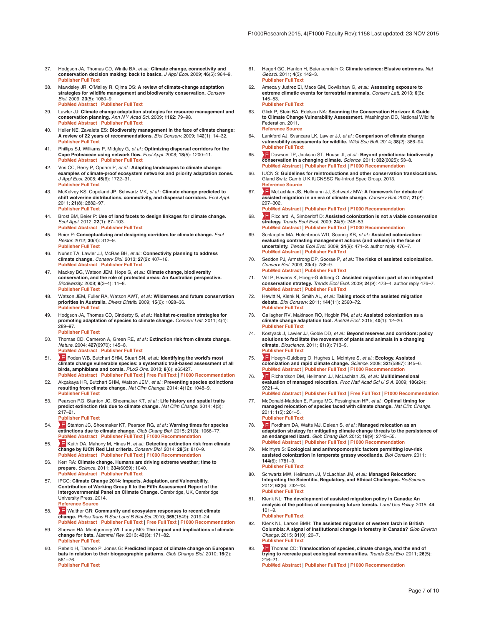- <span id="page-6-0"></span>Hodgson JA, Thomas CD, Wintle BA, et al.: **Climate change, connectivity and conservation decision making: back to basics.** *J Appl Ecol.* 2009; **46**(5): 964–9. **[Publisher Full Text](http://dx.doi.org/10.1111/j.1365-2664.2009.01695.x)**
- 38. Mawdsley JR, O'Malley R, Ojima DS: **A review of climate-change adaptation strategies for wildlife management and biodiversity conservation.** *Conserv Biol.* 2009; **23**(5): 1080–9. **[PubMed Abstract](http://www.ncbi.nlm.nih.gov/pubmed/19549219)** | **[Publisher Full Text](http://dx.doi.org/10.1111/j.1523-1739.2009.01264.x)**
- 39. Lawler JJ: **Climate change adaptation strategies for resource management and conservation planning.** *Ann N Y Acad Sci.* 2009; **1162**: 79–98. **[PubMed Abstract](http://www.ncbi.nlm.nih.gov/pubmed/19432646)** | **[Publisher Full Text](http://dx.doi.org/10.1111/j.1749-6632.2009.04147.x)**
- 40. Heller NE, Zavaleta ES: **Biodiversity management in the face of climate change: A review of 22 years of recommendations.** *Biol Conserv.* 2009; **142**(1): 14–32. **[Publisher Full Text](http://dx.doi.org/10.1016/j.biocon.2008.10.006)**
- 41. Phillips SJ, Williams P, Midgley G, *et al.*: **Optimizing dispersal corridors for the Cape Proteaceae using network flow.** *Ecol Appl.* 2008; **18**(5): 1200–11. **[PubMed Abstract](http://www.ncbi.nlm.nih.gov/pubmed/18686581)** | **[Publisher Full Text](http://dx.doi.org/10.1890/07-0507.1)**
- 42. Vos CC, Berry P, Opdam P, *et al.*: **Adapting landscapes to climate change: examples of climate-proof ecosystem networks and priority adaptation zones.** *J Appl Ecol.* 2008; **45**(6): 1722–31. **[Publisher Full Text](http://dx.doi.org/10.1111/j.1365-2664.2008.01569.x)**
- 43. McKelvey KS, Copeland JP, Schwartz MK, *et al.*: **Climate change predicted to shift wolverine distributions, connectivity, and dispersal corridors.** *Ecol Appl.* 2011; **21**(8): 2882–97. **[Publisher Full Text](http://dx.doi.org/10.1890/10-2206.1)**
- 44. Brost BM, Beier P: **Use of land facets to design linkages for climate change.** *Ecol Appl.* 2012; **22**(1): 87–103. **[PubMed Abstract](http://www.ncbi.nlm.nih.gov/pubmed/22471077)** | **[Publisher Full Text](http://dx.doi.org/10.1890/11-0213.1)**
- 45. Beier P: **Conceptualizing and designing corridors for climate change.** *Ecol Restor.* 2012; **30**(4): 312–9. **[Publisher Full Text](http://dx.doi.org/10.3368/er.30.4.312)**
- 46. Nuñez TA, Lawler JJ, McRae BH, *et al.*: **Connectivity planning to address climate change.** *Conserv Biol.* 2013; **27**(2): 407–16. **[PubMed Abstract](http://www.ncbi.nlm.nih.gov/pubmed/23410037)** | **[Publisher Full Text](http://dx.doi.org/10.1111/cobi.12014)**
- 47. Mackey BG, Watson JEM, Hope G, *et al.*: **Climate change, biodiversity conservation, and the role of protected areas: An Australian perspective.** *Biodiversity.* 2008; **9**(3–4): 11–8. **[Publisher Full Text](http://dx.doi.org/10.1080/14888386.2008.9712902)**
- 48. Watson JEM, Fuller RA, Watson AWT, *et al.*: **Wilderness and future conservation priorities in Australia.** *Divers Distrib.* 2009; **15**(6): 1028–36. **[Publisher Full Text](http://dx.doi.org/10.1111/j.1472-4642.2009.00601.x)**
- 49. Hodgson JA, Thomas CD, Cinderby S, *et al.*: **Habitat re-creation strategies for promoting adaptation of species to climate change.** *Conserv Lett.* 2011; **4**(4): 289–97.

#### **[Publisher Full Text](http://dx.doi.org/10.1111/j.1755-263X.2011.00177.x)**

- 50. Thomas CD, Cameron A, Green RE, *et al.*: **Extinction risk from climate change.** *Nature.* 2004; **427**(6970): 145–8. **[PubMed Abstract](http://www.ncbi.nlm.nih.gov/pubmed/14712274)** | **[Publisher Full Text](http://dx.doi.org/10.1038/nature02121)**
- 51. Time [F](http://f1000.com/prime/724133806)oden WB, Butchart SHM, Stuart SN, *et al.*: **Identifying the world's most**<br>climate change vulnerable species: a systematic trait-based assessment of all<br>birds, amphibians and corals. *PLoS One.* 2013; 8(6): e654 **[PubMed Abstract](http://www.ncbi.nlm.nih.gov/pubmed/23950785)** | **[Publisher Full Text](http://dx.doi.org/10.1371/journal.pone.0065427)** | **[Free Full Text](http://www.ncbi.nlm.nih.gov/pmc/articles/3680427)** | **[F1000 Recommendation](http://f1000.com/prime/724133806)**
- 52. Akçakaya HR, Butchart SHM, Watson JEM, *et al.*: **Preventing species extinctions resulting from climate change.** *Nat Clim Change.* 2014; **4**(12): 1048–9. **[Publisher Full Text](http://dx.doi.org/10.1038/nclimate2455)**
- 53. Pearson RG, Stanton JC, Shoemaker KT, *et al.*: **Life history and spatial traits predict extinction risk due to climate change.** *Nat Clim Change.* 2014; **4**(3): 217–21.
	- **[Publisher Full Text](http://dx.doi.org/10.1038/nclimate2113)**
- 54. [S](http://f1000.com/prime/725266580)tanton JC, Shoemaker KT, Pearson RG, *et al.*: **Warning times for species extinctions due to climate change.** *Glob Chang Biol.* 2015; **21**(3): 1066–77. **[PubMed Abstract](http://www.ncbi.nlm.nih.gov/pubmed/25263856)** | **[Publisher Full Text](http://dx.doi.org/10.1111/gcb.12721)** | **[F1000 Recommendation](http://f1000.com/prime/725266580)**
- 55. [K](http://f1000.com/prime/718273117)eith DA, Mahony M, Hines H, *et al.*: **Detecting extinction risk from climate change by IUCN Red List criteria.** *Conserv Biol.* 2014; **28**(3): 810–9. **[PubMed Abstract](http://www.ncbi.nlm.nih.gov/pubmed/24512339)** | **[Publisher Full Text](http://dx.doi.org/10.1111/cobi.12234)** | **[F1000 Recommendation](http://f1000.com/prime/718273117)**
- 56. Kerr RA: **Climate change. Humans are driving extreme weather; time to prepare.** *Science.* 2011; **334**(6059): 1040. **[PubMed Abstract](http://www.ncbi.nlm.nih.gov/pubmed/22116846)** | **[Publisher Full Text](http://dx.doi.org/10.1126/science.334.6059.1040)**
- 57. IPCC: **Climate Change 2014: Impacts, Adaptation, and Vulnerability. Contribution of Working Group II to the Fifth Assessment Report of the Intergovernmental Panel on Climate Change.** Cambridge, UK, Cambridge University Press. 2014. **[Reference Source](https://ipcc-wg2.gov/AR5/report/)**
- 58. [W](http://f1000.com/prime/720603132)alther GR: **Community and ecosystem responses to recent climate change.** *Philos Trans R Soc Lond B Biol Sci.* 2010; **365**(1549): 2019–24. **[PubMed Abstract](http://www.ncbi.nlm.nih.gov/pubmed/20513710)** | **[Publisher Full Text](http://dx.doi.org/10.1098/rstb.2010.0021)** | **[Free Full Text](http://www.ncbi.nlm.nih.gov/pmc/articles/2880129)** | **[F1000 Recommendation](http://f1000.com/prime/720603132)**
- 59. Sherwin HA, Montgomery WI, Lundy MG: **The impact and implications of climate change for bats.** *Mammal Rev.* 2013; **43**(3): 171–82. **[Publisher Full Text](http://dx.doi.org/10.1111/j.1365-2907.2012.00214.x)**
- 60. Rebelo H, Tarroso P, Jones G: **Predicted impact of climate change on European bats in relation to their biogeographic patterns.** *Glob Change Biol.* 2010; **16**(2): 561–76. **[Publisher Full Text](http://dx.doi.org/10.1111/j.1365-2486.2009.02021.x)**

- 61. Hegerl GC, Hanlon H, Beierkuhnlein C: **Climate science: Elusive extremes.** *Nat Geosci.* 2011; **4**(3): 142–3. **[Publisher Full Text](http://dx.doi.org/10.1038/ngeo1090)**
- 62. Ameca y Juárez EI, Mace GM, Cowlishaw G, *et al.*: **Assessing exposure to extreme climatic events for terrestrial mammals.** *Conserv Lett.* 2013; **6**(3): 145–53. **[Publisher Full Text](http://dx.doi.org/10.1111/j.1755-263X.2012.00306.x)**
- 63. Glick P, Stein BA, Edelson NA: **Scanning the Conservation Horizon: A Guide to Climate Change Vulnerability Assessment.** Washington DC, National Wildlife Federation. 2011. **[Reference Source](http://www.habitat.noaa.gov/pdf/scanning_the_conservation_horizon.pdf)**
- 64. Lankford AJ, Svancara LK, Lawler JJ, *et al.*: **Comparison of climate change vulnerability assessments for wildlife.** *Wildl Soc Bull.* 2014; **38**(2): 386–94. **[Publisher Full Text](http://dx.doi.org/10.1002/wsb.399)**
- 65. [D](http://f1000.com/prime/718020124)awson TP, Jackson ST, House JI, *et al.*: **Beyond predictions: biodiversity conservation in a changing climate.** *Science.* 2011; **332**(6025): 53–8. **[PubMed Abstract](http://www.ncbi.nlm.nih.gov/pubmed/21454781) | [Publisher Full Text](http://dx.doi.org/10.1126/science.1200303) | F1000 Rec**
- 66. IUCN S: **Guidelines for reintroductions and other conservation translocations.** Gland Switz Camb U K IUCNSSC Re-Introd Spec Group. 2013. **[Reference Source](https://portals.iucn.org/library/efiles/documents/2013-009.pdf)**
- 67. [M](http://f1000.com/prime/1075773)cLachlan JS, Hellmann JJ, Schwartz MW: **A framework for debate of assisted migration in an era of climate change.** *Conserv Biol.* 2007; **21**(2): 297–302. **[PubMed Abstract](http://www.ncbi.nlm.nih.gov/pubmed/17391179)** | **[Publisher Full Text](http://dx.doi.org/10.1111/j.1523-1739.2007.00676.x)** | **[F1000 Recommendation](http://f1000.com/prime/1075773)**
- 68. [R](http://f1000.com/prime/1160249)icciardi A, Simberloff D: **Assisted colonization is not a viable conservation strategy.** *Trends Ecol Evol.* 2009; **24**(5): 248–53. **[PubMed Abstract](http://www.ncbi.nlm.nih.gov/pubmed/19324453)** | **[Publisher Full Text](http://dx.doi.org/10.1016/j.tree.2008.12.006)** | **[F1000 Recommendation](http://f1000.com/prime/1160249)**
- 69. Schlaepfer MA, Helenbrook WD, Searing KB, *et al.*: **Assisted colonization: evaluating contrasting management actions (and values) in the face of uncertainty.** *Trends Ecol Evol.* 2009; **24**(9): 471–2. author reply 476–7. **[PubMed Abstract](http://www.ncbi.nlm.nih.gov/pubmed/19595475)** | **[Publisher Full Text](http://dx.doi.org/10.1016/j.tree.2009.05.008)**
- 70. Seddon PJ, Armstrong DP, Soorae P, *et al.*: **The risks of assisted colonization.** *Conserv Biol.* 2009; **23**(4): 788–9. **[PubMed Abstract](http://www.ncbi.nlm.nih.gov/pubmed/19627304)** | **[Publisher Full Text](http://dx.doi.org/10.1111/j.1523-1739.2009.01200.x)**
- 71. Vitt P, Havens K, Hoegh-Guldberg O: **Assisted migration: part of an integrated conservation strategy.** *Trends Ecol Evol.* 2009; **24**(9): 473–4. author reply 476–7. **[PubMed Abstract](http://www.ncbi.nlm.nih.gov/pubmed/19595474)** | **[Publisher Full Text](http://dx.doi.org/10.1016/j.tree.2009.05.007)**
- 72. Hewitt N, Klenk N, Smith AL, *et al.*: **Taking stock of the assisted migration debate.** *Biol Conserv.* 2011; **144**(11): 2560–72. **[Publisher Full Text](http://dx.doi.org/10.1016/j.biocon.2011.04.031)**
- 73. Gallagher RV, Makinson RO, Hogbin PM, *et al.*: **Assisted colonization as a climate change adaptation tool.** *Austral Ecol.* 2015; **40**(1): 12–20. **[Publisher Full Text](http://dx.doi.org/10.1111/aec.12163)**
- 74. Kostyack J, Lawler JJ, Goble DD, *et al.*: **Beyond reserves and corridors: policy solutions to facilitate the movement of plants and animals in a changing climate.** *Bioscience.* 2011; **61**(9): 713–9. **[Publisher Full Text](http://dx.doi.org/10.1525/bio.2011.61.9.10)**
- 75. [H](http://f1000.com/prime/720190864)oegh-Guldberg O, Hughes L, McIntyre S, *et al.*: **Ecology. Assisted colonization and rapid climate change.** *Science.* 2008; **321**(5887): 345–6. **[PubMed Abstract](http://www.ncbi.nlm.nih.gov/pubmed/18635780)** | **[Publisher Full Text](http://dx.doi.org/10.1126/science.1157897)** | **[F1000 Recommendation](http://f1000.com/prime/720190864)**
- 76. [R](http://f1000.com/prime/723916727)ichardson DM, Hellmann JJ, McLachlan JS, *et al.*: **Multidimensional evaluation of managed relocation.** *Proc Natl Acad Sci U S A.* 2009; **106**(24): 9721–4.
- **[PubMed Abstract](http://www.ncbi.nlm.nih.gov/pubmed/19509337)** | **[Publisher Full Text](http://dx.doi.org/10.1073/pnas.0902327106)** | **[Free Full Text](http://www.ncbi.nlm.nih.gov/pmc/articles/2694035)** | **[F1000 Recommendation](http://f1000.com/prime/723916727)** 77. McDonald-Madden E, Runge MC, Possingham HP, *et al.*: **Optimal timing for**
- **managed relocation of species faced with climate change.** *Nat Clim Change.* 2011; **1**(5): 261–5. **[Publisher Full Text](http://dx.doi.org/10.1038/nclimate1170)**
- 78. [F](http://f1000.com/prime/718267867)ordham DA, Watts MJ, Delean S, *et al.*: **Managed relocation as an adaptation strategy for mitigating climate change threats to the persistence of an endangered lizard.** *Glob Chang Biol.* 2012; **18**(9): 2743–55. **[PubMed Abstract](http://www.ncbi.nlm.nih.gov/pubmed/24501053)** | **[Publisher Full Text](http://dx.doi.org/10.1111/j.1365-2486.2012.02742.x)** | **[F1000 Recommendation](http://f1000.com/prime/718267867)**
- 79. McIntyre S: **Ecological and anthropomorphic factors permitting low-risk assisted colonization in temperate grassy woodlands.** *Biol Conserv.* 2011; **144**(6): 1781–9. **[Publisher Full Text](http://dx.doi.org/10.1016/j.biocon.2011.03.023)**
- 80. Schwartz MW, Hellmann JJ, McLachlan JM, *et al.*: **Managed Relocation: Integrating the Scientific, Regulatory, and Ethical Challenges.** *BioScience.* 2012; **62**(8): 732–43. **[Publisher Full Text](http://dx.doi.org/10.1525/bio.2012.62.8.6)**
- 81. Klenk NL: **The development of assisted migration policy in Canada: An analysis of the politics of composing future forests.** *Land Use Policy.* 2015; **44**: 101–9. **[Publisher Full Text](http://dx.doi.org/10.1016/j.landusepol.2014.12.003)**
- 82. Klenk NL, Larson BMH: **The assisted migration of western larch in British Columbia: A signal of institutional change in forestry in Canada?** *Glob Environ Change.* 2015; **31**(0): 20–7. **[Publisher Full Text](http://dx.doi.org/10.1016/j.gloenvcha.2014.12.002)**
- 83. **T** [T](http://f1000.com/prime/720492627)homas CD: Translocation of species, climate change, and the end of **trying to recreate past ecological communities.** *Trends Ecol Evo.* 2011; **26**(5): 216–21. **[PubMed Abstract](http://www.ncbi.nlm.nih.gov/pubmed/21411178)** | **[Publisher Full Text](http://dx.doi.org/10.1016/j.tree.2011.02.006)** | **[F1000 Recommendation](http://f1000.com/prime/720492627)**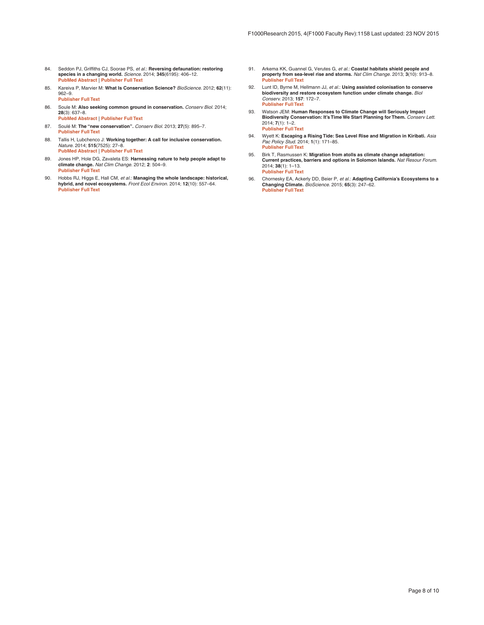- <span id="page-7-0"></span>84. Seddon PJ, Griffiths CJ, Soorae PS, *et al.*: **Reversing defaunation: restoring species in a changing world.** *Science.* 2014; **345**(6195): 406–12. **[PubMed Abstract](http://www.ncbi.nlm.nih.gov/pubmed/25061203)** | **[Publisher Full Text](http://dx.doi.org/10.1126/science.1251818)**
- 85. Kareiva P, Marvier M: **What Is Conservation Science?** *BioScience.* 2012; **62**(11): 962–9. **[Publisher Full Text](http://dx.doi.org/10.1525/bio.2012.62.11.5)**
- 86. Soule M: **Also seeking common ground in conservation.** *Conserv Biol.* 2014; **28**(3): 637–8. **[PubMed Abstract](http://www.ncbi.nlm.nih.gov/pubmed/24702594)** | **[Publisher Full Text](http://dx.doi.org/10.1111/cobi.12293)**
- 87. Soulé M: **The "new conservation".** *Conserv Biol.* 2013; **27**(5): 895–7. **[Publisher Full Text](http://dx.doi.org/10.1111/cobi.12147)**
- 88. Tallis H, Lubchenco J: **Working together: A call for inclusive conservation.** *Nature.* 2014; **515**(7525): 27–8. **[PubMed Abstract](http://www.ncbi.nlm.nih.gov/pubmed/25373659)** | **[Publisher Full Text](http://dx.doi.org/10.1038/515027a)**
- 89. Jones HP, Hole DG, Zavaleta ES: **Harnessing nature to help people adapt to climate change.** *Nat Clim Change.* 2012; **2**: 504–9. **[Publisher Full Text](http://dx.doi.org/10.1038/nclimate1463)**
- 90. Hobbs RJ, Higgs E, Hall CM, *et al.*: **Managing the whole landscape: historical, hybrid, and novel ecosystems.** *Front Ecol Environ.* 2014; **12**(10): 557–64. **[Publisher Full Text](http://dx.doi.org/10.1890/130300)**
- 91. Arkema KK, Guannel G, Verutes G, *et al.*: **Coastal habitats shield people and property from sea-level rise and storms.** *Nat Clim Change.* 2013; **3**(10): 913–8. **[Publisher Full Text](http://dx.doi.org/10.1038/nclimate1944)**
- 92. Lunt ID, Byrne M, Hellmann JJ, *et al.*: **Using assisted colonisation to conserve biodiversity and restore ecosystem function under climate change.** *Biol Conserv.* 2013; **157**: 172–7. **[Publisher Full Text](http://dx.doi.org/10.1016/j.biocon.2012.08.034)**
- 93. Watson JEM: **Human Responses to Climate Change will Seriously Impact Biodiversity Conservation: It's Time We Start Planning for Them.** *Conserv Lett.* 2014; **7**(1): 1–2. **[Publisher Full Text](http://dx.doi.org/10.1111/conl.12083)**
- 94. Wyett K: **Escaping a Rising Tide: Sea Level Rise and Migration in Kiribati.** *Asia Pac Policy Stud.* 2014; **1**(1): 171–85. **[Publisher Full Text](http://dx.doi.org/10.1002/app5.7)**
- 95. Birk T, Rasmussen K: **Migration from atolls as climate change adaptation: Current practices, barriers and options in Solomon Islands.** *Nat Resour Forum.* 2014; **38**(1): 1–13. **[Publisher Full Text](http://dx.doi.org/10.1111/1477-8947.12038)**
- 96. Chornesky EA, Ackerly DD, Beier P, *et al.*: **Adapting California's Ecosystems to a Changing Climate.** *BioScience.* 2015; **65**(3): 247–62. **[Publisher Full Text](http://dx.doi.org/10.1093/biosci/biu233)**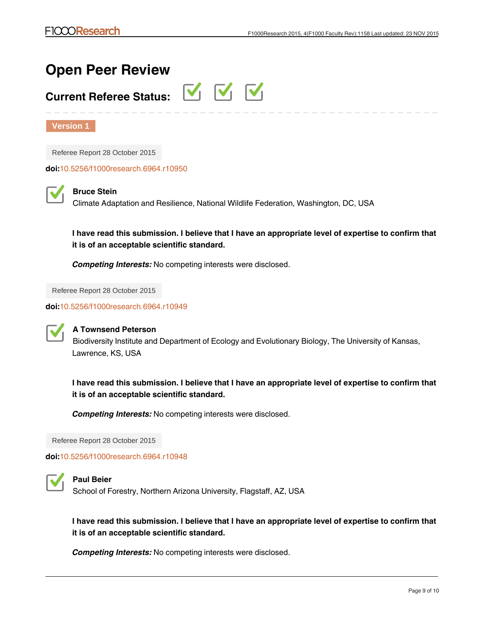# **Open Peer Review**

# **Current Referee Status:**

VVV

**Version 1**

Referee Report 28 October 2015

**doi:**[10.5256/f1000research.6964.r10950](http://dx.doi.org/10.5256/f1000research.6964.r10950)



**Bruce Stein**

Climate Adaptation and Resilience, National Wildlife Federation, Washington, DC, USA

**I have read this submission. I believe that I have an appropriate level of expertise to confirm that it is of an acceptable scientific standard.**

*Competing Interests:* No competing interests were disclosed.

Referee Report 28 October 2015

**doi:**[10.5256/f1000research.6964.r10949](http://dx.doi.org/10.5256/f1000research.6964.r10949)



# **A Townsend Peterson**

Biodiversity Institute and Department of Ecology and Evolutionary Biology, The University of Kansas, Lawrence, KS, USA

**I have read this submission. I believe that I have an appropriate level of expertise to confirm that it is of an acceptable scientific standard.**

*Competing Interests:* No competing interests were disclosed.

Referee Report 28 October 2015

**doi:**[10.5256/f1000research.6964.r10948](http://dx.doi.org/10.5256/f1000research.6964.r10948)



# **Paul Beier**

School of Forestry, Northern Arizona University, Flagstaff, AZ, USA

**I have read this submission. I believe that I have an appropriate level of expertise to confirm that it is of an acceptable scientific standard.**

*Competing Interests:* No competing interests were disclosed.